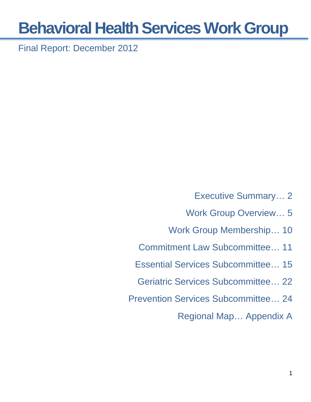Final Report: December 2012

- Executive Summary… 2
- Work Group Overview… 5
- Work Group Membership… 10
- Commitment Law Subcommittee… 11
- Essential Services Subcommittee… 15
- Geriatric Services Subcommittee… 22
- Prevention Services Subcommittee… 24

Regional Map… Appendix A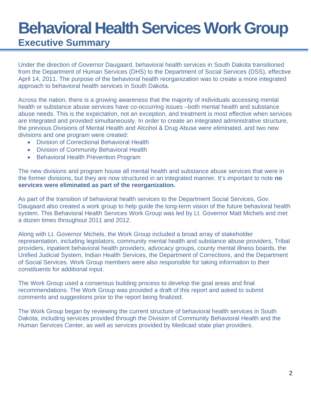## **Behavioral Health Services Work Group Executive Summary**

Under the direction of Governor Daugaard, behavioral health services in South Dakota transitioned from the Department of Human Services (DHS) to the Department of Social Services (DSS), effective April 14, 2011. The purpose of the behavioral health reorganization was to create a more integrated approach to behavioral health services in South Dakota.

Across the nation, there is a growing awareness that the majority of individuals accessing mental health or substance abuse services have co-occurring issues –both mental health and substance abuse needs. This is the expectation, not an exception, and treatment is most effective when services are integrated and provided simultaneously. In order to create an integrated administrative structure, the previous Divisions of Mental Health and Alcohol & Drug Abuse were eliminated, and two new divisions and one program were created:

- Division of Correctional Behavioral Health
- Division of Community Behavioral Health
- Behavioral Health Prevention Program

The new divisions and program house all mental health and substance abuse services that were in the former divisions, but they are now structured in an integrated manner. It's important to note **no services were eliminated as part of the reorganization.** 

As part of the transition of behavioral health services to the Department Social Services, Gov. Daugaard also created a work group to help guide the long-term vision of the future behavioral health system. This Behavioral Health Services Work Group was led by Lt. Governor Matt Michels and met a dozen times throughout 2011 and 2012.

Along with Lt. Governor Michels, the Work Group included a broad array of stakeholder representation, including legislators, community mental health and substance abuse providers, Tribal providers, inpatient behavioral health providers, advocacy groups, county mental illness boards, the Unified Judicial System, Indian Health Services, the Department of Corrections, and the Department of Social Services. Work Group members were also responsible for taking information to their constituents for additional input.

The Work Group used a consensus building process to develop the goal areas and final recommendations. The Work Group was provided a draft of this report and asked to submit comments and suggestions prior to the report being finalized.

The Work Group began by reviewing the current structure of behavioral health services in South Dakota, including services provided through the Division of Community Behavioral Health and the Human Services Center, as well as services provided by Medicaid state plan providers.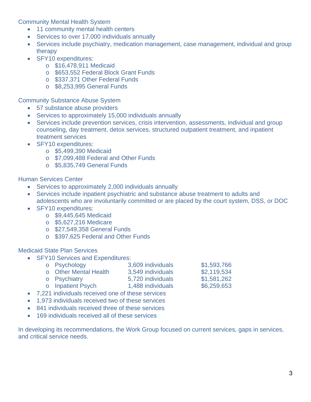Community Mental Health System

- 11 community mental health centers
- Services to over 17,000 individuals annually
- Services include psychiatry, medication management, case management, individual and group therapy
- SFY10 expenditures:
	- o \$16,478,911 Medicaid
	- o \$653,552 Federal Block Grant Funds
	- o \$337,371 Other Federal Funds
	- o \$8,253,995 General Funds

Community Substance Abuse System

- 57 substance abuse providers
- Services to approximately 15,000 individuals annually
- Services include prevention services, crisis intervention, assessments, individual and group counseling, day treatment, detox services, structured outpatient treatment, and inpatient treatment services
- SFY10 expenditures:
	- o \$5,499,390 Medicaid
	- o \$7,099,488 Federal and Other Funds
	- o \$5,835,749 General Funds

Human Services Center

- Services to approximately 2,000 individuals annually
- Services include inpatient psychiatric and substance abuse treatment to adults and adolescents who are involuntarily committed or are placed by the court system, DSS, or DOC
- SFY10 expenditures:
	- o \$9,445,645 Medicaid
	- o \$5,627,216 Medicare
	- o \$27,549,358 General Funds
	- o \$397,625 Federal and Other Funds

Medicaid State Plan Services

• **SFY10 Services and Expenditures:** 

| o Psychology          | 3,609 individuals | \$1,593,766 |
|-----------------------|-------------------|-------------|
| o Other Mental Health | 3,549 individuals | \$2,119,534 |
| o Psychiatry          | 5,720 individuals | \$1,581,262 |
| o Inpatient Psych     | 1,488 individuals | \$6,259,653 |
|                       |                   |             |

- 7,221 individuals received one of these services
- 1,973 individuals received two of these services
- 841 individuals received three of these services
- 169 individuals received all of these services

In developing its recommendations, the Work Group focused on current services, gaps in services, and critical service needs.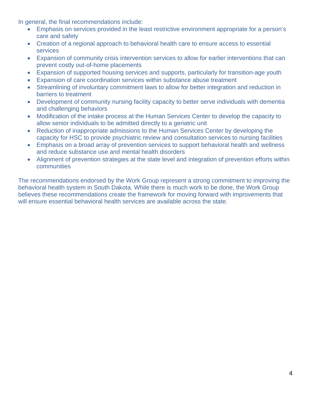In general, the final recommendations include:

- Emphasis on services provided in the least restrictive environment appropriate for a person's care and safety
- Creation of a regional approach to behavioral health care to ensure access to essential services
- Expansion of community crisis intervention services to allow for earlier interventions that can prevent costly out-of-home placements
- Expansion of supported housing services and supports, particularly for transition-age youth
- Expansion of care coordination services within substance abuse treatment
- Streamlining of involuntary commitment laws to allow for better integration and reduction in barriers to treatment
- Development of community nursing facility capacity to better serve individuals with dementia and challenging behaviors
- Modification of the intake process at the Human Services Center to develop the capacity to allow senior individuals to be admitted directly to a geriatric unit
- Reduction of inappropriate admissions to the Human Services Center by developing the capacity for HSC to provide psychiatric review and consultation services to nursing facilities
- Emphasis on a broad array of prevention services to support behavioral health and wellness and reduce substance use and mental health disorders
- Alignment of prevention strategies at the state level and integration of prevention efforts within communities

The recommendations endorsed by the Work Group represent a strong commitment to improving the behavioral health system in South Dakota. While there is much work to be done, the Work Group believes these recommendations create the framework for moving forward with improvements that will ensure essential behavioral health services are available across the state.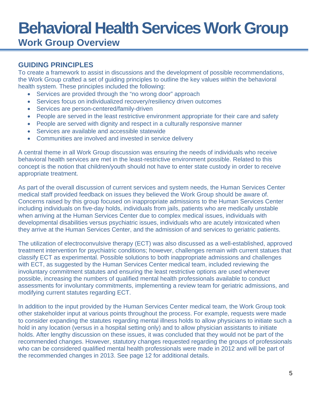### **Work Group Overview**

#### **GUIDING PRINCIPLES**

To create a framework to assist in discussions and the development of possible recommendations, the Work Group crafted a set of guiding principles to outline the key values within the behavioral health system. These principles included the following:

- Services are provided through the "no wrong door" approach
- Services focus on individualized recovery/resiliency driven outcomes
- Services are person-centered/family-driven
- People are served in the least restrictive environment appropriate for their care and safety
- People are served with dignity and respect in a culturally responsive manner
- Services are available and accessible statewide
- Communities are involved and invested in service delivery

A central theme in all Work Group discussion was ensuring the needs of individuals who receive behavioral health services are met in the least-restrictive environment possible. Related to this concept is the notion that children/youth should not have to enter state custody in order to receive appropriate treatment.

As part of the overall discussion of current services and system needs, the Human Services Center medical staff provided feedback on issues they believed the Work Group should be aware of. Concerns raised by this group focused on inappropriate admissions to the Human Services Center including individuals on five-day holds, individuals from jails, patients who are medically unstable when arriving at the Human Services Center due to complex medical issues, individuals with developmental disabilities versus psychiatric issues, individuals who are acutely intoxicated when they arrive at the Human Services Center, and the admission of and services to geriatric patients.

The utilization of electroconvulsive therapy (ECT) was also discussed as a well-established, approved treatment intervention for psychiatric conditions; however, challenges remain with current statues that classify ECT as experimental. Possible solutions to both inappropriate admissions and challenges with ECT, as suggested by the Human Services Center medical team, included reviewing the involuntary commitment statutes and ensuring the least restrictive options are used whenever possible, increasing the numbers of qualified mental health professionals available to conduct assessments for involuntary commitments, implementing a review team for geriatric admissions, and modifying current statutes regarding ECT.

In addition to the input provided by the Human Services Center medical team, the Work Group took other stakeholder input at various points throughout the process. For example, requests were made to consider expanding the statutes regarding mental illness holds to allow physicians to initiate such a hold in any location (versus in a hospital setting only) and to allow physician assistants to initiate holds. After lengthy discussion on these issues, it was concluded that they would not be part of the recommended changes. However, statutory changes requested regarding the groups of professionals who can be considered qualified mental health professionals were made in 2012 and will be part of the recommended changes in 2013. See page 12 for additional details.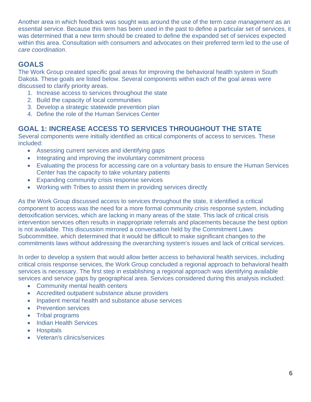Another area in which feedback was sought was around the use of the term *case management* as an essential service. Because this term has been used in the past to define a particular set of services, it was determined that a new term should be created to define the expanded set of services expected within this area. Consultation with consumers and advocates on their preferred term led to the use of *care coordination*.

#### **GOALS**

The Work Group created specific goal areas for improving the behavioral health system in South Dakota. These goals are listed below. Several components within each of the goal areas were discussed to clarify priority areas.

- 1. Increase access to services throughout the state
- 2. Build the capacity of local communities
- 3. Develop a strategic statewide prevention plan
- 4. Define the role of the Human Services Center

#### **GOAL 1: INCREASE ACCESS TO SERVICES THROUGHOUT THE STATE**

Several components were initially identified as critical components of access to services. These included:

- Assessing current services and identifying gaps
- Integrating and improving the involuntary commitment process
- Evaluating the process for accessing care on a voluntary basis to ensure the Human Services Center has the capacity to take voluntary patients
- Expanding community crisis response services
- Working with Tribes to assist them in providing services directly

As the Work Group discussed access to services throughout the state, it identified a critical component to access was the need for a more formal community crisis response system, including detoxification services, which are lacking in many areas of the state. This lack of critical crisis intervention services often results in inappropriate referrals and placements because the best option is not available. This discussion mirrored a conversation held by the Commitment Laws Subcommittee, which determined that it would be difficult to make significant changes to the commitments laws without addressing the overarching system's issues and lack of critical services.

In order to develop a system that would allow better access to behavioral health services, including critical crisis response services, the Work Group concluded a regional approach to behavioral health services is necessary. The first step in establishing a regional approach was identifying available services and service gaps by geographical area. Services considered during this analysis included:

- Community mental health centers
- Accredited outpatient substance abuse providers
- Inpatient mental health and substance abuse services
- Prevention services
- Tribal programs
- Indian Health Services
- **•** Hospitals
- Veteran's clinics/services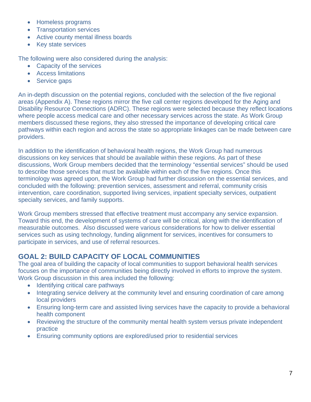- Homeless programs
- Transportation services
- Active county mental illness boards
- Key state services

The following were also considered during the analysis:

- Capacity of the services
- Access limitations
- Service gaps

An in-depth discussion on the potential regions, concluded with the selection of the five regional areas (Appendix A). These regions mirror the five call center regions developed for the Aging and Disability Resource Connections (ADRC). These regions were selected because they reflect locations where people access medical care and other necessary services across the state. As Work Group members discussed these regions, they also stressed the importance of developing critical care pathways within each region and across the state so appropriate linkages can be made between care providers.

In addition to the identification of behavioral health regions, the Work Group had numerous discussions on key services that should be available within these regions. As part of these discussions, Work Group members decided that the terminology "essential services" should be used to describe those services that must be available within each of the five regions. Once this terminology was agreed upon, the Work Group had further discussion on the essential services, and concluded with the following: prevention services, assessment and referral, community crisis intervention, care coordination, supported living services, inpatient specialty services, outpatient specialty services, and family supports.

Work Group members stressed that effective treatment must accompany any service expansion. Toward this end, the development of systems of care will be critical, along with the identification of measurable outcomes. Also discussed were various considerations for how to deliver essential services such as using technology, funding alignment for services, incentives for consumers to participate in services, and use of referral resources.

#### **GOAL 2: BUILD CAPACITY OF LOCAL COMMUNITIES**

The goal area of building the capacity of local communities to support behavioral health services focuses on the importance of communities being directly involved in efforts to improve the system. Work Group discussion in this area included the following:

- Identifying critical care pathways
- Integrating service delivery at the community level and ensuring coordination of care among local providers
- Ensuring long-term care and assisted living services have the capacity to provide a behavioral health component
- Reviewing the structure of the community mental health system versus private independent practice
- Ensuring community options are explored/used prior to residential services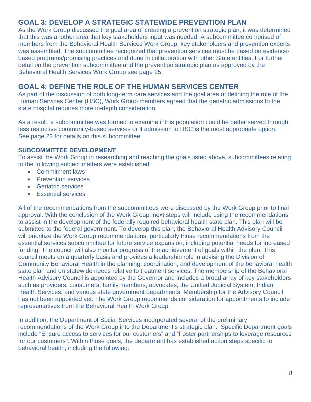#### **GOAL 3: DEVELOP A STRATEGIC STATEWIDE PREVENTION PLAN**

As the Work Group discussed the goal area of creating a prevention strategic plan, it was determined that this was another area that key stakeholders input was needed. A subcommittee comprised of members from the Behavioral Health Services Work Group, key stakeholders and prevention experts was assembled. The subcommittee recognized that prevention services must be based on evidencebased programs/promising practices and done in collaboration with other State entities. For further detail on the prevention subcommittee and the prevention strategic plan as approved by the Behavioral Health Services Work Group see page 25.

#### **GOAL 4: DEFINE THE ROLE OF THE HUMAN SERVICES CENTER**

As part of the discussion of both long-term care services and the goal area of defining the role of the Human Services Center (HSC), Work Group members agreed that the geriatric admissions to the state hospital requires more in-depth consideration.

As a result, a subcommittee was formed to examine if this population could be better served through less restrictive community-based services or if admission to HSC is the most appropriate option. See page 22 for details on this subcommittee.

#### **SUBCOMMITTEE DEVELOPMENT**

To assist the Work Group in researching and reaching the goals listed above, subcommittees relating to the following subject matters were established:

- Commitment laws
- Prevention services
- Geriatric services
- **Essential services**

All of the recommendations from the subcommittees were discussed by the Work Group prior to final approval. With the conclusion of the Work Group, next steps will include using the recommendations to assist in the development of the federally required behavioral health state plan. This plan will be submitted to the federal government. To develop this plan, the Behavioral Health Advisory Council will prioritize the Work Group recommendations, particularly those recommendations from the essential services subcommittee for future service expansion, including potential needs for increased funding. The council will also monitor progress of the achievement of goals within the plan. This council meets on a quarterly basis and provides a leadership role in advising the Division of Community Behavioral Health in the planning, coordination, and development of the behavioral health state plan and on statewide needs relative to treatment services. The membership of the Behavioral Health Advisory Council is appointed by the Governor and includes a broad array of key stakeholders such as providers, consumers, family members, advocates, the Unified Judicial System, Indian Health Services, and various state government departments. Membership for the Advisory Council has not been appointed yet. The Work Group recommends consideration for appointments to include representatives from the Behavioral Health Work Group.

In addition, the Department of Social Services incorporated several of the preliminary recommendations of the Work Group into the Department's strategic plan. Specific Department goals include "Ensure access to services for our customers" and "Foster partnerships to leverage resources for our customers". Within those goals, the department has established action steps specific to behavioral health, including the following: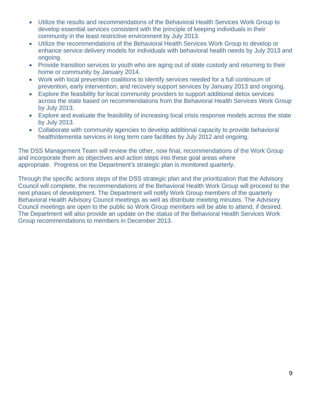- Utilize the results and recommendations of the Behavioral Health Services Work Group to develop essential services consistent with the principle of keeping individuals in their community in the least restrictive environment by July 2013.
- Utilize the recommendations of the Behavioral Health Services Work Group to develop or enhance service delivery models for individuals with behavioral health needs by July 2013 and ongoing.
- Provide transition services to youth who are aging out of state custody and returning to their home or community by January 2014.
- Work with local prevention coalitions to identify services needed for a full continuum of prevention, early intervention, and recovery support services by January 2013 and ongoing.
- Explore the feasibility for local community providers to support additional detox services across the state based on recommendations from the Behavioral Health Services Work Group by July 2013.
- Explore and evaluate the feasibility of increasing local crisis response models across the state by July 2013.
- Collaborate with community agencies to develop additional capacity to provide behavioral health/dementia services in long term care facilities by July 2012 and ongoing.

The DSS Management Team will review the other, now final, recommendations of the Work Group and incorporate them as objectives and action steps into these goal areas where appropriate. Progress on the Department's strategic plan is monitored quarterly.

Through the specific actions steps of the DSS strategic plan and the prioritization that the Advisory Council will complete, the recommendations of the Behavioral Health Work Group will proceed to the next phases of development. The Department will notify Work Group members of the quarterly Behavioral Health Advisory Council meetings as well as distribute meeting minutes. The Advisory Council meetings are open to the public so Work Group members will be able to attend, if desired. The Department will also provide an update on the status of the Behavioral Health Services Work Group recommendations to members in December 2013.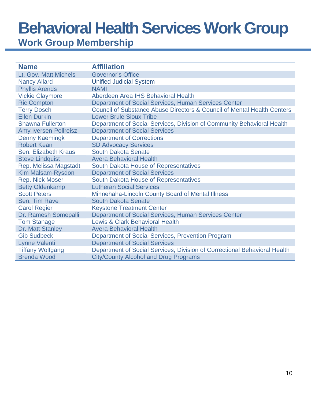**Work Group Membership** 

| <b>Name</b>                  | <b>Affiliation</b>                                                        |
|------------------------------|---------------------------------------------------------------------------|
| Lt. Gov. Matt Michels        | <b>Governor's Office</b>                                                  |
| <b>Nancy Allard</b>          | <b>Unified Judicial System</b>                                            |
| <b>Phyllis Arends</b>        | <b>NAMI</b>                                                               |
| <b>Vickie Claymore</b>       | Aberdeen Area IHS Behavioral Health                                       |
| <b>Ric Compton</b>           | Department of Social Services, Human Services Center                      |
| <b>Terry Dosch</b>           | Council of Substance Abuse Directors & Council of Mental Health Centers   |
| <b>Ellen Durkin</b>          | <b>Lower Brule Sioux Tribe</b>                                            |
| <b>Shawna Fullerton</b>      | Department of Social Services, Division of Community Behavioral Health    |
| <b>Amy Iversen-Pollreisz</b> | <b>Department of Social Services</b>                                      |
| <b>Denny Kaemingk</b>        | <b>Department of Corrections</b>                                          |
| <b>Robert Kean</b>           | <b>SD Advocacy Services</b>                                               |
| Sen. Elizabeth Kraus         | <b>South Dakota Senate</b>                                                |
| <b>Steve Lindquist</b>       | <b>Avera Behavioral Health</b>                                            |
| Rep. Melissa Magstadt        | <b>South Dakota House of Representatives</b>                              |
| Kim Malsam-Rysdon            | <b>Department of Social Services</b>                                      |
| <b>Rep. Nick Moser</b>       | South Dakota House of Representatives                                     |
| <b>Betty Oldenkamp</b>       | <b>Lutheran Social Services</b>                                           |
| <b>Scott Peters</b>          | Minnehaha-Lincoln County Board of Mental Illness                          |
| Sen. Tim Rave                | <b>South Dakota Senate</b>                                                |
| <b>Carol Regier</b>          | <b>Keystone Treatment Center</b>                                          |
| Dr. Ramesh Somepalli         | Department of Social Services, Human Services Center                      |
| <b>Tom Stanage</b>           | <b>Lewis &amp; Clark Behavioral Health</b>                                |
| Dr. Matt Stanley             | <b>Avera Behavioral Health</b>                                            |
| <b>Gib Sudbeck</b>           | Department of Social Services, Prevention Program                         |
| <b>Lynne Valenti</b>         | <b>Department of Social Services</b>                                      |
| <b>Tiffany Wolfgang</b>      | Department of Social Services, Division of Correctional Behavioral Health |
| <b>Brenda Wood</b>           | <b>City/County Alcohol and Drug Programs</b>                              |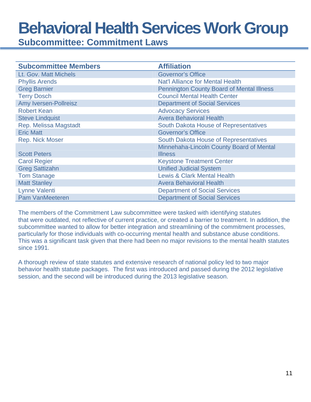**Subcommittee: Commitment Laws** 

| <b>Subcommittee Members</b>  | <b>Affiliation</b>                               |
|------------------------------|--------------------------------------------------|
| Lt. Gov. Matt Michels        | <b>Governor's Office</b>                         |
| <b>Phyllis Arends</b>        | <b>Nat'l Alliance for Mental Health</b>          |
| <b>Greg Barnier</b>          | <b>Pennington County Board of Mental Illness</b> |
| <b>Terry Dosch</b>           | <b>Council Mental Health Center</b>              |
| <b>Amy Iversen-Pollreisz</b> | <b>Department of Social Services</b>             |
| <b>Robert Kean</b>           | <b>Advocacy Services</b>                         |
| <b>Steve Lindquist</b>       | <b>Avera Behavioral Health</b>                   |
| Rep. Melissa Magstadt        | South Dakota House of Representatives            |
| <b>Eric Matt</b>             | <b>Governor's Office</b>                         |
| <b>Rep. Nick Moser</b>       | South Dakota House of Representatives            |
|                              | Minnehaha-Lincoln County Board of Mental         |
| <b>Scott Peters</b>          | <b>Illness</b>                                   |
| <b>Carol Regier</b>          | <b>Keystone Treatment Center</b>                 |
| <b>Greg Sattizahn</b>        | <b>Unified Judicial System</b>                   |
| <b>Tom Stanage</b>           | <b>Lewis &amp; Clark Mental Health</b>           |
| <b>Matt Stanley</b>          | <b>Avera Behavioral Health</b>                   |
| Lynne Valenti                | <b>Department of Social Services</b>             |
| <b>Pam VanMeeteren</b>       | <b>Department of Social Services</b>             |

The members of the Commitment Law subcommittee were tasked with identifying statutes that were outdated, not reflective of current practice, or created a barrier to treatment. In addition, the subcommittee wanted to allow for better integration and streamlining of the commitment processes, particularly for those individuals with co-occurring mental health and substance abuse conditions. This was a significant task given that there had been no major revisions to the mental health statutes since 1991.

A thorough review of state statutes and extensive research of national policy led to two major behavior health statute packages. The first was introduced and passed during the 2012 legislative session, and the second will be introduced during the 2013 legislative season.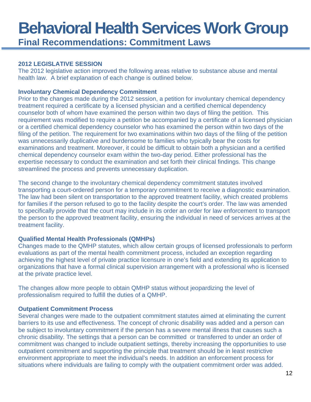### **Behavioral Health Services Work Group Final Recommendations: Commitment Laws**

#### **2012 LEGISLATIVE SESSION**

The 2012 legislative action improved the following areas relative to substance abuse and mental health law. A brief explanation of each change is outlined below.

#### **Involuntary Chemical Dependency Commitment**

Prior to the changes made during the 2012 session, a petition for involuntary chemical dependency treatment required a certificate by a licensed physician and a certified chemical dependency counselor both of whom have examined the person within two days of filing the petition. This requirement was modified to require a petition be accompanied by a certificate of a licensed physician or a certified chemical dependency counselor who has examined the person within two days of the filing of the petition. The requirement for two examinations within two days of the filing of the petition was unnecessarily duplicative and burdensome to families who typically bear the costs for examinations and treatment. Moreover, it could be difficult to obtain both a physician and a certified chemical dependency counselor exam within the two-day period. Either professional has the expertise necessary to conduct the examination and set forth their clinical findings. This change streamlined the process and prevents unnecessary duplication.

The second change to the involuntary chemical dependency commitment statutes involved transporting a court-ordered person for a temporary commitment to receive a diagnostic examination. The law had been silent on transportation to the approved treatment facility, which created problems for families if the person refused to go to the facility despite the court's order. The law was amended to specifically provide that the court may include in its order an order for law enforcement to transport the person to the approved treatment facility, ensuring the individual in need of services arrives at the treatment facility.

#### **Qualified Mental Health Professionals (QMHPs)**

Changes made to the QMHP statutes, which allow certain groups of licensed professionals to perform evaluations as part of the mental health commitment process, included an exception regarding achieving the highest level of private practice licensure in one's field and extending its application to organizations that have a formal clinical supervision arrangement with a professional who is licensed at the private practice level.

The changes allow more people to obtain QMHP status without jeopardizing the level of professionalism required to fulfill the duties of a QMHP.

#### **Outpatient Commitment Process**

Several changes were made to the outpatient commitment statutes aimed at eliminating the current barriers to its use and effectiveness. The concept of chronic disability was added and a person can be subject to involuntary commitment if the person has a severe mental illness that causes such a chronic disability. The settings that a person can be committed or transferred to under an order of commitment was changed to include outpatient settings, thereby increasing the opportunities to use outpatient commitment and supporting the principle that treatment should be in least restrictive environment appropriate to meet the individual's needs. In addition an enforcement process for situations where individuals are failing to comply with the outpatient commitment order was added.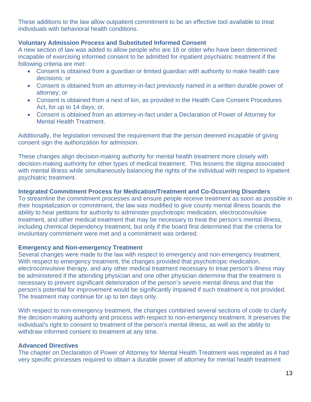These additions to the law allow outpatient commitment to be an effective tool available to treat individuals with behavioral health conditions.

#### **Voluntary Admission Process and Substituted Informed Consent**

A new section of law was added to allow people who are 18 or older who have been determined incapable of exercising informed consent to be admitted for inpatient psychiatric treatment if the following criteria are met:

- Consent is obtained from a guardian or limited guardian with authority to make health care decisions; or
- Consent is obtained from an attorney-in-fact previously named in a written durable power of attorney; or
- Consent is obtained from a next of kin, as provided in the Health Care Consent Procedures Act, for up to 14 days; or,
- Consent is obtained from an attorney-in-fact under a Declaration of Power of Attorney for Mental Health Treatment.

Additionally, the legislation removed the requirement that the person deemed incapable of giving consent sign the authorization for admission.

These changes align decision-making authority for mental health treatment more closely with decision-making authority for other types of medical treatment. This lessens the stigma associated with mental illness while simultaneously balancing the rights of the individual with respect to inpatient psychiatric treatment.

#### **Integrated Commitment Process for Medication/Treatment and Co-Occurring Disorders**

To streamline the commitment processes and ensure people receive treatment as soon as possible in their hospitalization or commitment, the law was modified to give county mental illness boards the ability to hear petitions for authority to administer psychotropic medication, electroconvulsive treatment, and other medical treatment that may be necessary to treat the person's mental illness, including chemical dependency treatment, but only if the board first determined that the criteria for involuntary commitment were met and a commitment was ordered.

#### **Emergency and Non-emergency Treatment**

Several changes were made to the law with respect to emergency and non-emergency treatment. With respect to emergency treatment, the changes provided that psychotropic medication, electroconvulsive therapy, and any other medical treatment necessary to treat person's illness may be administered if the attending physician and one other physician determine that the treatment is necessary to prevent significant deterioration of the person's severe mental illness and that the person's potential for improvement would be significantly impaired if such treatment is not provided. The treatment may continue for up to ten days only.

With respect to non-emergency treatment, the changes combined several sections of code to clarify the decision-making authority and process with respect to non-emergency treatment. It preserves the individual's right to consent to treatment of the person's mental illness, as well as the ability to withdraw informed consent to treatment at any time.

#### **Advanced Directives**

The chapter on Declaration of Power of Attorney for Mental Health Treatment was repealed as it had very specific processes required to obtain a durable power of attorney for mental health treatment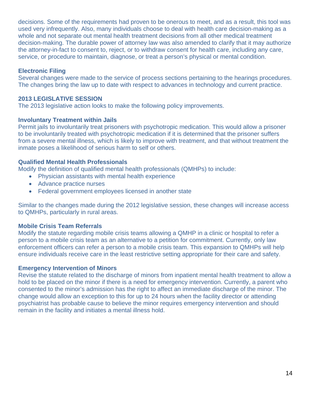decisions. Some of the requirements had proven to be onerous to meet, and as a result, this tool was used very infrequently. Also, many individuals choose to deal with health care decision-making as a whole and not separate out mental health treatment decisions from all other medical treatment decision-making. The durable power of attorney law was also amended to clarify that it may authorize the attorney-in-fact to consent to, reject, or to withdraw consent for health care, including any care, service, or procedure to maintain, diagnose, or treat a person's physical or mental condition.

#### **Electronic Filing**

Several changes were made to the service of process sections pertaining to the hearings procedures. The changes bring the law up to date with respect to advances in technology and current practice.

#### **2013 LEGISLATIVE SESSION**

The 2013 legislative action looks to make the following policy improvements.

#### **Involuntary Treatment within Jails**

Permit jails to involuntarily treat prisoners with psychotropic medication. This would allow a prisoner to be involuntarily treated with psychotropic medication if it is determined that the prisoner suffers from a severe mental illness, which is likely to improve with treatment, and that without treatment the inmate poses a likelihood of serious harm to self or others.

#### **Qualified Mental Health Professionals**

Modify the definition of qualified mental health professionals (QMHPs) to include:

- Physician assistants with mental health experience
- Advance practice nurses
- Federal government employees licensed in another state

Similar to the changes made during the 2012 legislative session, these changes will increase access to QMHPs, particularly in rural areas.

#### **Mobile Crisis Team Referrals**

Modify the statute regarding mobile crisis teams allowing a QMHP in a clinic or hospital to refer a person to a mobile crisis team as an alternative to a petition for commitment. Currently, only law enforcement officers can refer a person to a mobile crisis team. This expansion to QMHPs will help ensure individuals receive care in the least restrictive setting appropriate for their care and safety.

#### **Emergency Intervention of Minors**

Revise the statute related to the discharge of minors from inpatient mental health treatment to allow a hold to be placed on the minor if there is a need for emergency intervention. Currently, a parent who consented to the minor's admission has the right to affect an immediate discharge of the minor. The change would allow an exception to this for up to 24 hours when the facility director or attending psychiatrist has probable cause to believe the minor requires emergency intervention and should remain in the facility and initiates a mental illness hold.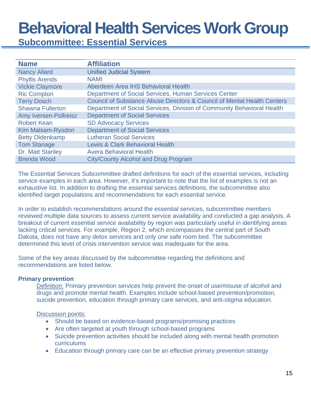**Subcommittee: Essential Services** 

| <b>Name</b>             | <b>Affiliation</b>                                                                 |
|-------------------------|------------------------------------------------------------------------------------|
| <b>Nancy Allard</b>     | <b>Unified Judicial System</b>                                                     |
| <b>Phyllis Arends</b>   | <b>NAMI</b>                                                                        |
| <b>Vickie Claymore</b>  | Aberdeen Area IHS Behavioral Health                                                |
| <b>Ric Compton</b>      | Department of Social Services, Human Services Center                               |
| <b>Terry Dosch</b>      | <b>Council of Substance Abuse Directors &amp; Council of Mental Health Centers</b> |
| <b>Shawna Fullerton</b> | Department of Social Services, Division of Community Behavioral Health             |
| Amy Iversen-Pollreisz   | <b>Department of Social Services</b>                                               |
| <b>Robert Kean</b>      | <b>SD Advocacy Services</b>                                                        |
| Kim Malsam-Rysdon       | <b>Department of Social Services</b>                                               |
| <b>Betty Oldenkamp</b>  | <b>Lutheran Social Services</b>                                                    |
| <b>Tom Stanage</b>      | <b>Lewis &amp; Clark Behavioral Health</b>                                         |
| Dr. Matt Stanley        | <b>Avera Behavioral Health</b>                                                     |
| <b>Brenda Wood</b>      | City/County Alcohol and Drug Program                                               |

The Essential Services Subcommittee drafted definitions for each of the essential services, including service examples in each area. However, it's important to note that the list of examples is not an exhaustive list. In addition to drafting the essential services definitions, the subcommittee also identified target populations and recommendations for each essential service.

In order to establish recommendations around the essential services, subcommittee members reviewed multiple data sources to assess current service availability and conducted a gap analysis. A breakout of current essential service availability by region was particularly useful in identifying areas lacking critical services. For example, Region 2, which encompasses the central part of South Dakota, does not have any detox services and only one safe room bed. The subcommittee determined this level of crisis intervention service was inadequate for the area.

Some of the key areas discussed by the subcommittee regarding the definitions and recommendations are listed below.

#### **Primary prevention**

Definition: Primary prevention services help prevent the onset of use/misuse of alcohol and drugs and promote mental health. Examples include school-based prevention/promotion, suicide prevention, education through primary care services, and anti-stigma education*.* 

#### Discussion points:

- Should be based on evidence-based programs/promising practices
- Are often targeted at youth through school-based programs
- Suicide prevention activities should be included along with mental health promotion curriculums
- Education through primary care can be an effective primary prevention strategy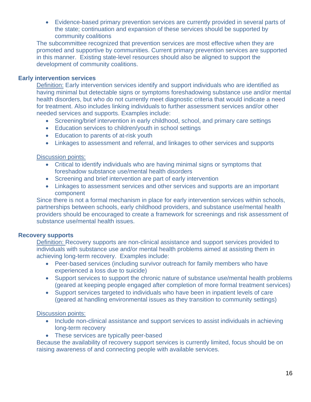Evidence-based primary prevention services are currently provided in several parts of the state; continuation and expansion of these services should be supported by community coalitions

The subcommittee recognized that prevention services are most effective when they are promoted and supportive by communities. Current primary prevention services are supported in this manner. Existing state-level resources should also be aligned to support the development of community coalitions.

#### **Early intervention services**

Definition: Early intervention services identify and support individuals who are identified as having minimal but detectable signs or symptoms foreshadowing substance use and/or mental health disorders, but who do not currently meet diagnostic criteria that would indicate a need for treatment. Also includes linking individuals to further assessment services and/or other needed services and supports. Examples include:

- Screening/brief intervention in early childhood, school, and primary care settings
- Education services to children/youth in school settings
- Education to parents of at-risk youth
- Linkages to assessment and referral, and linkages to other services and supports

#### Discussion points:

- Critical to identify individuals who are having minimal signs or symptoms that foreshadow substance use/mental health disorders
- Screening and brief intervention are part of early intervention
- Linkages to assessment services and other services and supports are an important component

Since there is not a formal mechanism in place for early intervention services within schools, partnerships between schools, early childhood providers, and substance use/mental health providers should be encouraged to create a framework for screenings and risk assessment of substance use/mental health issues.

#### **Recovery supports**

Definition: Recovery supports are non-clinical assistance and support services provided to individuals with substance use and/or mental health problems aimed at assisting them in achieving long-term recovery. Examples include:

- Peer-based services (including survivor outreach for family members who have experienced a loss due to suicide)
- Support services to support the chronic nature of substance use/mental health problems (geared at keeping people engaged after completion of more formal treatment services)
- Support services targeted to individuals who have been in inpatient levels of care (geared at handling environmental issues as they transition to community settings)

#### **Discussion points:**

- Include non-clinical assistance and support services to assist individuals in achieving long-term recovery
- These services are typically peer-based

Because the availability of recovery support services is currently limited, focus should be on raising awareness of and connecting people with available services.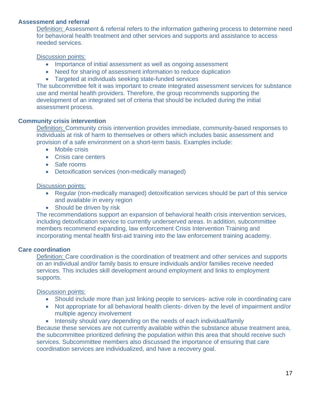#### **Assessment and referral**

Definition: Assessment & referral refers to the information gathering process to determine need for behavioral health treatment and other services and supports and assistance to access needed services.

#### Discussion points:

- Importance of initial assessment as well as ongoing assessment
- Need for sharing of assessment information to reduce duplication
- Targeted at individuals seeking state-funded services

The subcommittee felt it was important to create integrated assessment services for substance use and mental health providers. Therefore, the group recommends supporting the development of an integrated set of criteria that should be included during the initial assessment process.

#### **Community crisis intervention**

Definition: Community crisis intervention provides immediate, community-based responses to individuals at risk of harm to themselves or others which includes basic assessment and provision of a safe environment on a short-term basis. Examples include:

- Mobile crisis
- Crisis care centers
- Safe rooms
- Detoxification services (non-medically managed)

#### Discussion points:

- Regular (non-medically managed) detoxification services should be part of this service and available in every region
- Should be driven by risk

The recommendations support an expansion of behavioral health crisis intervention services, including detoxification service to currently underserved areas. In addition, subcommittee members recommend expanding, law enforcement Crisis Intervention Training and incorporating mental health first-aid training into the law enforcement training academy.

#### **Care coordination**

Definition: Care coordination is the coordination of treatment and other services and supports on an individual and/or family basis to ensure individuals and/or families receive needed services. This includes skill development around employment and links to employment supports.

Discussion points:

- Should include more than just linking people to services- active role in coordinating care
- Not appropriate for all behavioral health clients- driven by the level of impairment and/or multiple agency involvement
- Intensity should vary depending on the needs of each individual/family

Because these services are not currently available within the substance abuse treatment area, the subcommittee prioritized defining the population within this area that should receive such services. Subcommittee members also discussed the importance of ensuring that care coordination services are individualized, and have a recovery goal.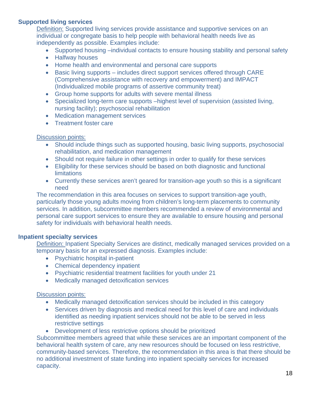#### **Supported living services**

Definition: Supported living services provide assistance and supportive services on an individual or congregate basis to help people with behavioral health needs live as independently as possible. Examples include:

- Supported housing –individual contacts to ensure housing stability and personal safety
- Halfway houses
- Home health and environmental and personal care supports
- Basic living supports includes direct support services offered through CARE (Comprehensive assistance with recovery and empowerment) and IMPACT (Individualized mobile programs of assertive community treat)
- Group home supports for adults with severe mental illness
- Specialized long-term care supports –highest level of supervision (assisted living, nursing facility); psychosocial rehabilitation
- Medication management services
- Treatment foster care

#### Discussion points:

- Should include things such as supported housing, basic living supports, psychosocial rehabilitation, and medication management
- Should not require failure in other settings in order to qualify for these services
- Eligibility for these services should be based on both diagnostic and functional **limitations**
- Currently these services aren't geared for transition-age youth so this is a significant need

The recommendation in this area focuses on services to support transition-age youth, particularly those young adults moving from children's long-term placements to community services. In addition, subcommittee members recommended a review of environmental and personal care support services to ensure they are available to ensure housing and personal safety for individuals with behavioral health needs.

#### **Inpatient specialty services**

Definition: Inpatient Specialty Services are distinct, medically managed services provided on a temporary basis for an expressed diagnosis. Examples include:

- Psychiatric hospital in-patient
- Chemical dependency inpatient
- Psychiatric residential treatment facilities for youth under 21
- Medically managed detoxification services

#### Discussion points:

- Medically managed detoxification services should be included in this category
- Services driven by diagnosis and medical need for this level of care and individuals identified as needing inpatient services should not be able to be served in less restrictive settings
- Development of less restrictive options should be prioritized

Subcommittee members agreed that while these services are an important component of the behavioral health system of care, any new resources should be focused on less restrictive, community-based services. Therefore, the recommendation in this area is that there should be no additional investment of state funding into inpatient specialty services for increased capacity.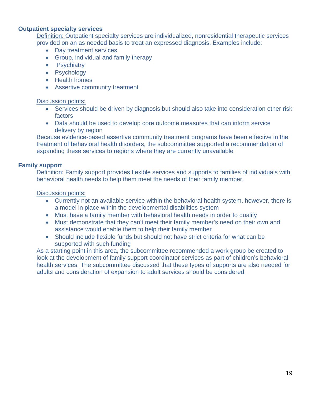#### **Outpatient specialty services**

Definition: Outpatient specialty services are individualized, nonresidential therapeutic services provided on an as needed basis to treat an expressed diagnosis. Examples include:

- Day treatment services
- Group, individual and family therapy
- Psychiatry
- Psychology
- Health homes
- Assertive community treatment

#### Discussion points:

- Services should be driven by diagnosis but should also take into consideration other risk factors
- Data should be used to develop core outcome measures that can inform service delivery by region

Because evidence-based assertive community treatment programs have been effective in the treatment of behavioral health disorders, the subcommittee supported a recommendation of expanding these services to regions where they are currently unavailable

#### **Family support**

Definition: Family support provides flexible services and supports to families of individuals with behavioral health needs to help them meet the needs of their family member.

#### Discussion points:

- Currently not an available service within the behavioral health system, however, there is a model in place within the developmental disabilities system
- Must have a family member with behavioral health needs in order to qualify
- Must demonstrate that they can't meet their family member's need on their own and assistance would enable them to help their family member
- Should include flexible funds but should not have strict criteria for what can be supported with such funding

As a starting point in this area, the subcommittee recommended a work group be created to look at the development of family support coordinator services as part of children's behavioral health services. The subcommittee discussed that these types of supports are also needed for adults and consideration of expansion to adult services should be considered.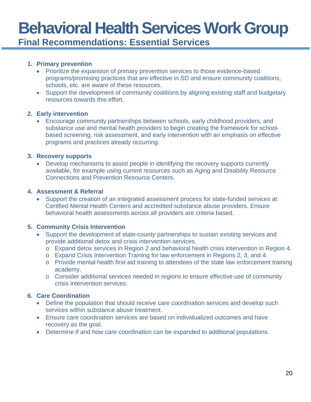**Final Recommendations: Essential Services** 

#### **1. Primary prevention**

- Prioritize the expansion of primary prevention services to those evidence-based programs/promising practices that are effective in SD and ensure community coalitions, schools, etc. are aware of these resources.
- Support the development of community coalitions by aligning existing staff and budgetary resources towards this effort.

#### **2. Early intervention**

 Encourage community partnerships between schools, early childhood providers, and substance use and mental health providers to begin creating the framework for schoolbased screening, risk assessment, and early intervention with an emphasis on effective programs and practices already occurring.

#### **3. Recovery supports**

 Develop mechanisms to assist people in identifying the recovery supports currently available, for example using current resources such as Aging and Disability Resource Connections and Prevention Resource Centers.

#### **4. Assessment & Referral**

 Support the creation of an integrated assessment process for state-funded services at Certified Mental Health Centers and accredited substance abuse providers. Ensure behavioral health assessments across all providers are criteria based.

#### **5. Community Crisis Intervention**

- Support the development of state-county partnerships to sustain existing services and provide additional detox and crisis intervention services.
	- o Expand detox services in Region 2 and behavioral health crisis intervention in Region 4.
	- o Expand Crisis Intervention Training for law enforcement in Regions 2, 3, and 4.
	- o Provide mental health first-aid training to attendees of the state law enforcement training academy.
	- o Consider additional services needed in regions to ensure effective use of community crisis intervention services.

#### **6. Care Coordination**

- Define the population that should receive care coordination services and develop such services within substance abuse treatment.
- Ensure care coordination services are based on individualized outcomes and have recovery as the goal.
- Determine if and how care coordination can be expanded to additional populations.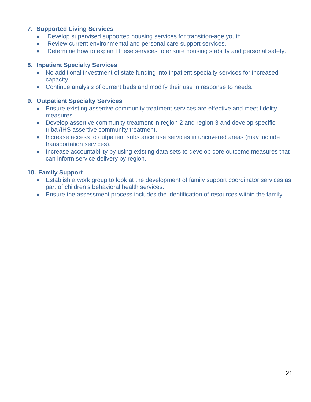#### **7. Supported Living Services**

- Develop supervised supported housing services for transition-age youth.
- Review current environmental and personal care support services.
- Determine how to expand these services to ensure housing stability and personal safety.

#### **8. Inpatient Specialty Services**

- No additional investment of state funding into inpatient specialty services for increased capacity.
- Continue analysis of current beds and modify their use in response to needs.

#### **9. Outpatient Specialty Services**

- Ensure existing assertive community treatment services are effective and meet fidelity measures.
- Develop assertive community treatment in region 2 and region 3 and develop specific tribal/IHS assertive community treatment.
- Increase access to outpatient substance use services in uncovered areas (may include transportation services).
- Increase accountability by using existing data sets to develop core outcome measures that can inform service delivery by region.

#### **10. Family Support**

- Establish a work group to look at the development of family support coordinator services as part of children's behavioral health services.
- Ensure the assessment process includes the identification of resources within the family.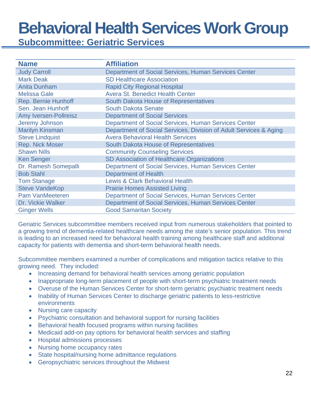**Subcommittee: Geriatric Services** 

| <b>Name</b>                  | <b>Affiliation</b>                                                |
|------------------------------|-------------------------------------------------------------------|
| <b>Judy Carroll</b>          | Department of Social Services, Human Services Center              |
| <b>Mark Deak</b>             | <b>SD Healthcare Association</b>                                  |
| <b>Anita Dunham</b>          | <b>Rapid City Regional Hospital</b>                               |
| <b>Melissa Gale</b>          | <b>Avera St. Benedict Health Center</b>                           |
| <b>Rep. Bernie Hunhoff</b>   | South Dakota House of Representatives                             |
| Sen. Jean Hunhoff            | <b>South Dakota Senate</b>                                        |
| <b>Amy Iversen-Pollreisz</b> | <b>Department of Social Services</b>                              |
| Jeremy Johnson               | Department of Social Services, Human Services Center              |
| <b>Marilyn Kinsman</b>       | Department of Social Services, Division of Adult Services & Aging |
| <b>Steve Lindquist</b>       | <b>Avera Behavioral Health Services</b>                           |
| <b>Rep. Nick Moser</b>       | <b>South Dakota House of Representatives</b>                      |
| <b>Shawn Nills</b>           | <b>Community Counseling Services</b>                              |
| <b>Ken Senger</b>            | SD Association of Healthcare Organizations                        |
| Dr. Ramesh Somepalli         | Department of Social Services, Human Services Center              |
| <b>Bob Stahl</b>             | <b>Department of Health</b>                                       |
| <b>Tom Stanage</b>           | <b>Lewis &amp; Clark Behavioral Health</b>                        |
| <b>Steve VandeKop</b>        | <b>Prairie Homes Assisted Living</b>                              |
| <b>Pam VanMeeteren</b>       | Department of Social Services, Human Services Center              |
| Dr. Vickie Walker            | Department of Social Services, Human Services Center              |
| <b>Ginger Wells</b>          | <b>Good Samaritan Society</b>                                     |

Geriatric Services subcommittee members received input from numerous stakeholders that pointed to a growing trend of dementia-related healthcare needs among the state's senior population. This trend is leading to an increased need for behavioral health training among healthcare staff and additional capacity for patients with dementia and short-term behavioral health needs.

Subcommittee members examined a number of complications and mitigation tactics relative to this growing need. They included:

- Increasing demand for behavioral health services among geriatric population
- Inappropriate long-term placement of people with short-term psychiatric treatment needs
- Overuse of the Human Services Center for short-term geriatric psychiatric treatment needs
- Inability of Human Services Center to discharge geriatric patients to less-restrictive environments
- Nursing care capacity
- Psychiatric consultation and behavioral support for nursing facilities
- Behavioral health focused programs within nursing facilities
- Medicaid add-on pay options for behavioral health services and staffing
- Hospital admissions processes
- Nursing home occupancy rates
- State hospital/nursing home admittance regulations
- Geropsychiatric services throughout the Midwest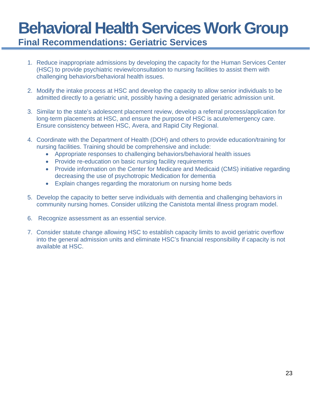## **Behavioral Health Services Work Group Final Recommendations: Geriatric Services**

- 1. Reduce inappropriate admissions by developing the capacity for the Human Services Center (HSC) to provide psychiatric review/consultation to nursing facilities to assist them with challenging behaviors/behavioral health issues.
- 2. Modify the intake process at HSC and develop the capacity to allow senior individuals to be admitted directly to a geriatric unit, possibly having a designated geriatric admission unit.
- 3. Similar to the state's adolescent placement review, develop a referral process/application for long-term placements at HSC, and ensure the purpose of HSC is acute/emergency care. Ensure consistency between HSC, Avera, and Rapid City Regional.
- 4. Coordinate with the Department of Health (DOH) and others to provide education/training for nursing facilities. Training should be comprehensive and include:
	- Appropriate responses to challenging behaviors/behavioral health issues
	- Provide re-education on basic nursing facility requirements
	- Provide information on the Center for Medicare and Medicaid (CMS) initiative regarding decreasing the use of psychotropic Medication for dementia
	- Explain changes regarding the moratorium on nursing home beds
- 5. Develop the capacity to better serve individuals with dementia and challenging behaviors in community nursing homes. Consider utilizing the Canistota mental illness program model.
- 6. Recognize assessment as an essential service.
- 7. Consider statute change allowing HSC to establish capacity limits to avoid geriatric overflow into the general admission units and eliminate HSC's financial responsibility if capacity is not available at HSC.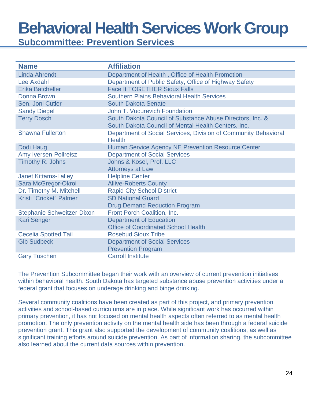**Subcommittee: Prevention Services** 

| <b>Name</b>                       | <b>Affiliation</b>                                                                                               |
|-----------------------------------|------------------------------------------------------------------------------------------------------------------|
| <b>Linda Ahrendt</b>              | Department of Health, Office of Health Promotion                                                                 |
| <b>Lee Axdahl</b>                 | Department of Public Safety, Office of Highway Safety                                                            |
| <b>Erika Batcheller</b>           | <b>Face It TOGETHER Sioux Falls</b>                                                                              |
| Donna Brown                       | <b>Southern Plains Behavioral Health Services</b>                                                                |
| Sen. Joni Cutler                  | <b>South Dakota Senate</b>                                                                                       |
| <b>Sandy Diegel</b>               | John T. Vucurevich Foundation                                                                                    |
| <b>Terry Dosch</b>                | South Dakota Council of Substance Abuse Directors, Inc. &<br>South Dakota Council of Mental Health Centers, Inc. |
| <b>Shawna Fullerton</b>           | Department of Social Services, Division of Community Behavioral<br><b>Health</b>                                 |
| Dodi Haug                         | Human Service Agency NE Prevention Resource Center                                                               |
| Amy Iversen-Pollreisz             | <b>Department of Social Services</b>                                                                             |
| Timothy R. Johns                  | Johns & Kosel, Prof. LLC                                                                                         |
|                                   | <b>Attorneys at Law</b>                                                                                          |
| <b>Janet Kittams-Lalley</b>       | <b>Helpline Center</b>                                                                                           |
| Sara McGregor-Okroi               | <b>Aliive-Roberts County</b>                                                                                     |
| Dr. Timothy M. Mitchell           | <b>Rapid City School District</b>                                                                                |
| Kristi "Cricket" Palmer           | <b>SD National Guard</b>                                                                                         |
|                                   | <b>Drug Demand Reduction Program</b>                                                                             |
| <b>Stephanie Schweitzer-Dixon</b> | Front Porch Coalition, Inc.                                                                                      |
| <b>Kari Senger</b>                | <b>Department of Education</b>                                                                                   |
|                                   | <b>Office of Coordinated School Health</b>                                                                       |
| <b>Cecelia Spotted Tail</b>       | <b>Rosebud Sioux Tribe</b>                                                                                       |
| <b>Gib Sudbeck</b>                | <b>Department of Social Services</b>                                                                             |
|                                   | <b>Prevention Program</b>                                                                                        |
| <b>Gary Tuschen</b>               | <b>Carroll Institute</b>                                                                                         |

The Prevention Subcommittee began their work with an overview of current prevention initiatives within behavioral health. South Dakota has targeted substance abuse prevention activities under a federal grant that focuses on underage drinking and binge drinking.

Several community coalitions have been created as part of this project, and primary prevention activities and school-based curriculums are in place. While significant work has occurred within primary prevention, it has not focused on mental health aspects often referred to as mental health promotion. The only prevention activity on the mental health side has been through a federal suicide prevention grant. This grant also supported the development of community coalitions, as well as significant training efforts around suicide prevention. As part of information sharing, the subcommittee also learned about the current data sources within prevention.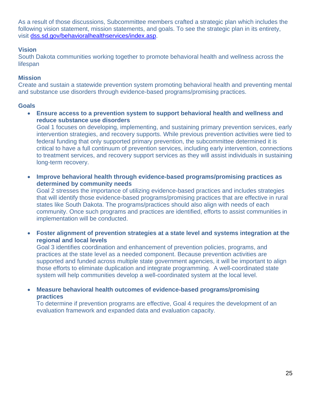As a result of those discussions, Subcommittee members crafted a strategic plan which includes the following vision statement, mission statements, and goals. To see the strategic plan in its entirety, visit dss.sd.gov/behavioralhealthservices/index.asp.

#### **Vision**

South Dakota communities working together to promote behavioral health and wellness across the lifespan

#### **Mission**

Create and sustain a statewide prevention system promoting behavioral health and preventing mental and substance use disorders through evidence-based programs/promising practices.

#### **Goals**

 **Ensure access to a prevention system to support behavioral health and wellness and reduce substance use disorders** 

Goal 1 focuses on developing, implementing, and sustaining primary prevention services, early intervention strategies, and recovery supports. While previous prevention activities were tied to federal funding that only supported primary prevention, the subcommittee determined it is critical to have a full continuum of prevention services, including early intervention, connections to treatment services, and recovery support services as they will assist individuals in sustaining long-term recovery.

 **Improve behavioral health through evidence-based programs/promising practices as determined by community needs** 

Goal 2 stresses the importance of utilizing evidence-based practices and includes strategies that will identify those evidence-based programs/promising practices that are effective in rural states like South Dakota. The programs/practices should also align with needs of each community. Once such programs and practices are identified, efforts to assist communities in implementation will be conducted.

 **Foster alignment of prevention strategies at a state level and systems integration at the regional and local levels** 

Goal 3 identifies coordination and enhancement of prevention policies, programs, and practices at the state level as a needed component. Because prevention activities are supported and funded across multiple state government agencies, it will be important to align those efforts to eliminate duplication and integrate programming. A well-coordinated state system will help communities develop a well-coordinated system at the local level.

 **Measure behavioral health outcomes of evidence-based programs/promising practices** 

To determine if prevention programs are effective, Goal 4 requires the development of an evaluation framework and expanded data and evaluation capacity.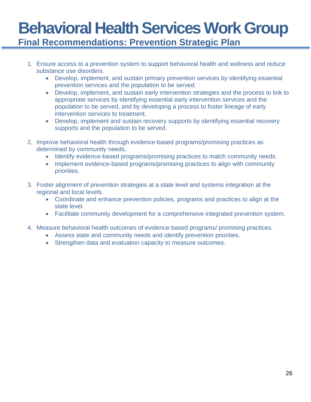### **Behavioral Health Services Work Group Final Recommendations: Prevention Strategic Plan**

- 1. Ensure access to a prevention system to support behavioral health and wellness and reduce substance use disorders.
	- Develop, implement, and sustain primary prevention services by identifying essential prevention services and the population to be served.
	- Develop, implement, and sustain early intervention strategies and the process to link to appropriate services by identifying essential early intervention services and the population to be served, and by developing a process to foster lineage of early intervention services to treatment.
	- Develop, implement and sustain recovery supports by identifying essential recovery supports and the population to be served.
- 2. Improve behavioral health through evidence-based programs/promising practices as determined by community needs.
	- Identify evidence-based programs/promising practices to match community needs.
	- Implement evidence-based programs/promising practices to align with community priorities.
- 3. Foster alignment of prevention strategies at a state level and systems integration at the regional and local levels.
	- Coordinate and enhance prevention policies, programs and practices to align at the state level.
	- Facilitate community development for a comprehensive integrated prevention system.
- 4. Measure behavioral health outcomes of evidence-based programs/ promising practices.
	- Assess state and community needs and identify prevention priorities.
	- Strengthen data and evaluation capacity to measure outcomes.